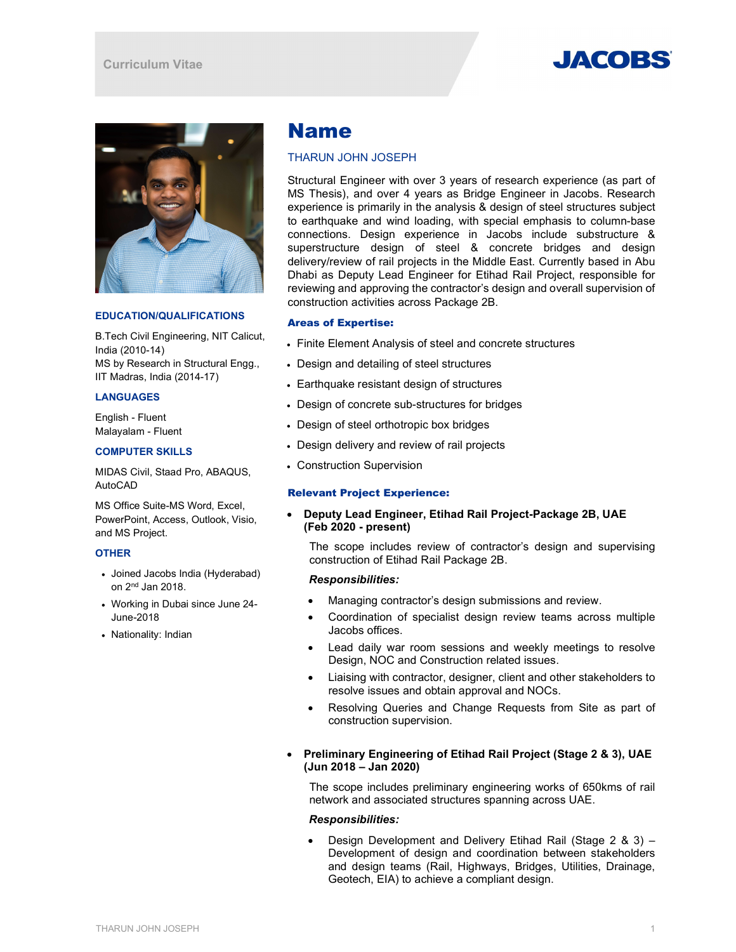



# EDUCATION/QUALIFICATIONS

B.Tech Civil Engineering, NIT Calicut, India (2010-14) MS by Research in Structural Engg., IIT Madras, India (2014-17)

## LANGUAGES

English - Fluent Malayalam - Fluent

## COMPUTER SKILLS

MIDAS Civil, Staad Pro, ABAQUS, AutoCAD

MS Office Suite-MS Word, Excel, PowerPoint, Access, Outlook, Visio, and MS Project.

## **OTHER**

- Joined Jacobs India (Hyderabad) on 2nd Jan 2018.
- Working in Dubai since June 24- June-2018
- Nationality: Indian

# Name

# THARUN JOHN JOSEPH

Structural Engineer with over 3 years of research experience (as part of MS Thesis), and over 4 years as Bridge Engineer in Jacobs. Research experience is primarily in the analysis & design of steel structures subject to earthquake and wind loading, with special emphasis to column-base connections. Design experience in Jacobs include substructure & superstructure design of steel & concrete bridges and design delivery/review of rail projects in the Middle East. Currently based in Abu Dhabi as Deputy Lead Engineer for Etihad Rail Project, responsible for reviewing and approving the contractor's design and overall supervision of construction activities across Package 2B.

## Areas of Expertise:

- Finite Element Analysis of steel and concrete structures
- Design and detailing of steel structures
- Earthquake resistant design of structures
- Design of concrete sub-structures for bridges
- Design of steel orthotropic box bridges
- Design delivery and review of rail projects
- Construction Supervision

# Relevant Project Experience:

# Deputy Lead Engineer, Etihad Rail Project-Package 2B, UAE (Feb 2020 - present)

The scope includes review of contractor's design and supervising construction of Etihad Rail Package 2B.

#### Responsibilities:

- Managing contractor's design submissions and review.
- Coordination of specialist design review teams across multiple Jacobs offices.
- Lead daily war room sessions and weekly meetings to resolve Design, NOC and Construction related issues.
- Liaising with contractor, designer, client and other stakeholders to resolve issues and obtain approval and NOCs.
- Resolving Queries and Change Requests from Site as part of construction supervision.
- Preliminary Engineering of Etihad Rail Project (Stage 2 & 3), UAE (Jun 2018 – Jan 2020)

The scope includes preliminary engineering works of 650kms of rail network and associated structures spanning across UAE.

# Responsibilities:

 Design Development and Delivery Etihad Rail (Stage 2 & 3) – Development of design and coordination between stakeholders and design teams (Rail, Highways, Bridges, Utilities, Drainage, Geotech, EIA) to achieve a compliant design.